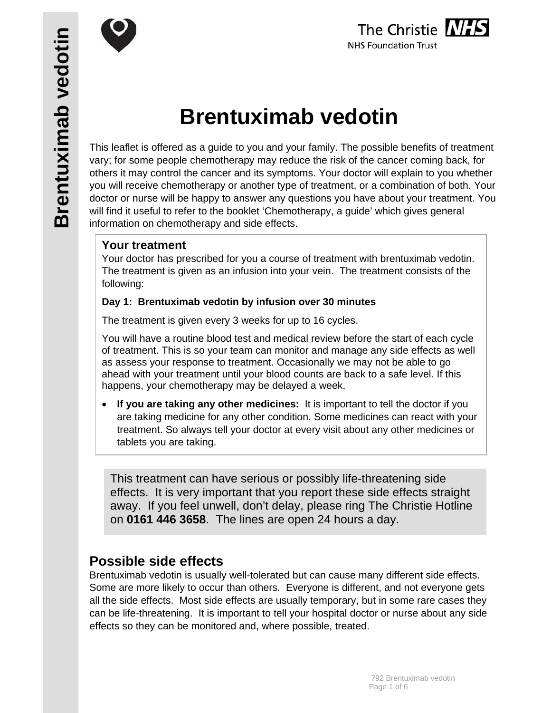

# The Christie NHS **NHS Foundation Trust**

# **Brentuximab vedotin**

This leaflet is offered as a guide to you and your family. The possible benefits of treatment vary; for some people chemotherapy may reduce the risk of the cancer coming back, for others it may control the cancer and its symptoms. Your doctor will explain to you whether you will receive chemotherapy or another type of treatment, or a combination of both. Your doctor or nurse will be happy to answer any questions you have about your treatment. You will find it useful to refer to the booklet 'Chemotherapy, a guide' which gives general information on chemotherapy and side effects.

# **Your treatment**

Your doctor has prescribed for you a course of treatment with brentuximab vedotin. The treatment is given as an infusion into your vein. The treatment consists of the following:

## **Day 1: Brentuximab vedotin by infusion over 30 minutes**

The treatment is given every 3 weeks for up to 16 cycles.

You will have a routine blood test and medical review before the start of each cycle of treatment. This is so your team can monitor and manage any side effects as well as assess your response to treatment. Occasionally we may not be able to go ahead with your treatment until your blood counts are back to a safe level. If this happens, your chemotherapy may be delayed a week.

 **If you are taking any other medicines:** It is important to tell the doctor if you are taking medicine for any other condition. Some medicines can react with your treatment. So always tell your doctor at every visit about any other medicines or tablets you are taking.

This treatment can have serious or possibly life-threatening side effects. It is very important that you report these side effects straight away. If you feel unwell, don't delay, please ring The Christie Hotline on **0161 446 3658**. The lines are open 24 hours a day.

# **Possible side effects**

Brentuximab vedotin is usually well-tolerated but can cause many different side effects. Some are more likely to occur than others. Everyone is different, and not everyone gets all the side effects. Most side effects are usually temporary, but in some rare cases they can be life-threatening. It is important to tell your hospital doctor or nurse about any side effects so they can be monitored and, where possible, treated.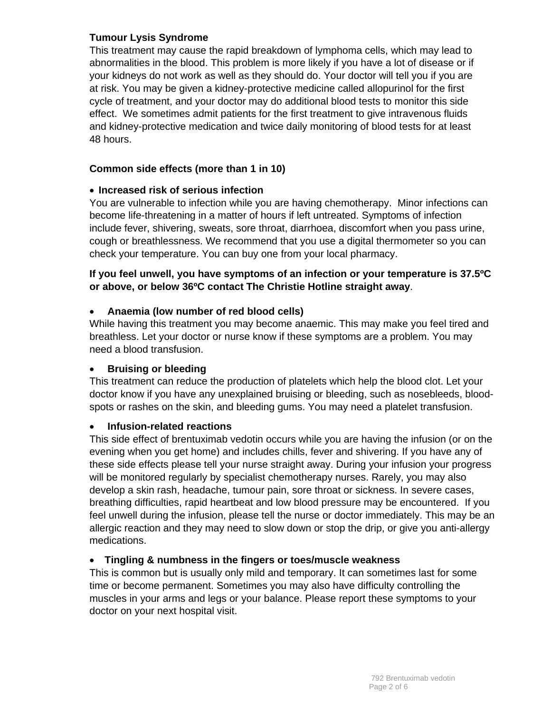#### **Tumour Lysis Syndrome**

This treatment may cause the rapid breakdown of lymphoma cells, which may lead to abnormalities in the blood. This problem is more likely if you have a lot of disease or if your kidneys do not work as well as they should do. Your doctor will tell you if you are at risk. You may be given a kidney-protective medicine called allopurinol for the first cycle of treatment, and your doctor may do additional blood tests to monitor this side effect. We sometimes admit patients for the first treatment to give intravenous fluids and kidney-protective medication and twice daily monitoring of blood tests for at least 48 hours.

#### **Common side effects (more than 1 in 10)**

#### **Increased risk of serious infection**

You are vulnerable to infection while you are having chemotherapy. Minor infections can become life-threatening in a matter of hours if left untreated. Symptoms of infection include fever, shivering, sweats, sore throat, diarrhoea, discomfort when you pass urine, cough or breathlessness. We recommend that you use a digital thermometer so you can check your temperature. You can buy one from your local pharmacy.

#### **If you feel unwell, you have symptoms of an infection or your temperature is 37.5ºC or above, or below 36ºC contact The Christie Hotline straight away**.

#### **Anaemia (low number of red blood cells)**

While having this treatment you may become anaemic. This may make you feel tired and breathless. Let your doctor or nurse know if these symptoms are a problem. You may need a blood transfusion.

#### **Bruising or bleeding**

This treatment can reduce the production of platelets which help the blood clot. Let your doctor know if you have any unexplained bruising or bleeding, such as nosebleeds, bloodspots or rashes on the skin, and bleeding gums. You may need a platelet transfusion.

#### **Infusion-related reactions**

This side effect of brentuximab vedotin occurs while you are having the infusion (or on the evening when you get home) and includes chills, fever and shivering. If you have any of these side effects please tell your nurse straight away. During your infusion your progress will be monitored regularly by specialist chemotherapy nurses. Rarely, you may also develop a skin rash, headache, tumour pain, sore throat or sickness. In severe cases, breathing difficulties, rapid heartbeat and low blood pressure may be encountered. If you feel unwell during the infusion, please tell the nurse or doctor immediately. This may be an allergic reaction and they may need to slow down or stop the drip, or give you anti-allergy medications.

## **Tingling & numbness in the fingers or toes/muscle weakness**

This is common but is usually only mild and temporary. It can sometimes last for some time or become permanent. Sometimes you may also have difficulty controlling the muscles in your arms and legs or your balance. Please report these symptoms to your doctor on your next hospital visit.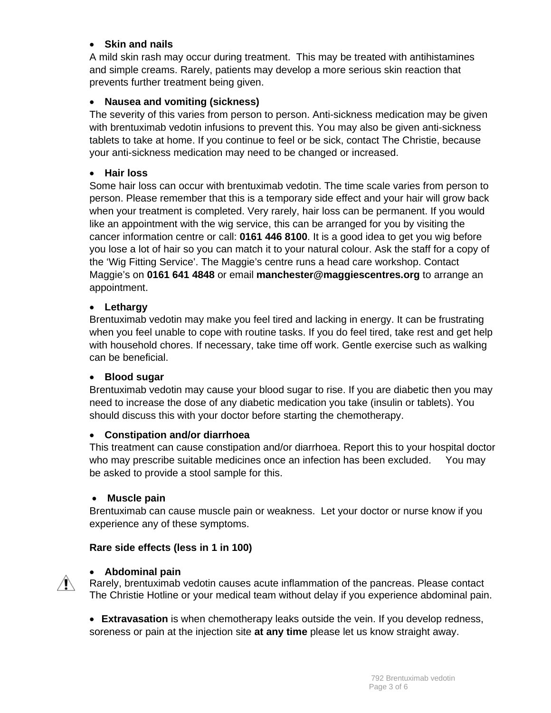#### **Skin and nails**

A mild skin rash may occur during treatment. This may be treated with antihistamines and simple creams. Rarely, patients may develop a more serious skin reaction that prevents further treatment being given.

#### **Nausea and vomiting (sickness)**

The severity of this varies from person to person. Anti-sickness medication may be given with brentuximab vedotin infusions to prevent this. You may also be given anti-sickness tablets to take at home. If you continue to feel or be sick, contact The Christie, because your anti-sickness medication may need to be changed or increased.

#### **Hair loss**

Some hair loss can occur with brentuximab vedotin. The time scale varies from person to person. Please remember that this is a temporary side effect and your hair will grow back when your treatment is completed. Very rarely, hair loss can be permanent. If you would like an appointment with the wig service, this can be arranged for you by visiting the cancer information centre or call: **0161 446 8100**. It is a good idea to get you wig before you lose a lot of hair so you can match it to your natural colour. Ask the staff for a copy of the 'Wig Fitting Service'. The Maggie's centre runs a head care workshop. Contact Maggie's on **0161 641 4848** or email **manchester@maggiescentres.org** to arrange an appointment.

#### **Lethargy**

Brentuximab vedotin may make you feel tired and lacking in energy. It can be frustrating when you feel unable to cope with routine tasks. If you do feel tired, take rest and get help with household chores. If necessary, take time off work. Gentle exercise such as walking can be beneficial.

#### **Blood sugar**

Brentuximab vedotin may cause your blood sugar to rise. If you are diabetic then you may need to increase the dose of any diabetic medication you take (insulin or tablets). You should discuss this with your doctor before starting the chemotherapy.

#### **Constipation and/or diarrhoea**

This treatment can cause constipation and/or diarrhoea. Report this to your hospital doctor who may prescribe suitable medicines once an infection has been excluded. You may be asked to provide a stool sample for this.

#### **Muscle pain**

Brentuximab can cause muscle pain or weakness. Let your doctor or nurse know if you experience any of these symptoms.

## **Rare side effects (less in 1 in 100)**



#### **Abdominal pain**

Rarely, brentuximab vedotin causes acute inflammation of the pancreas. Please contact The Christie Hotline or your medical team without delay if you experience abdominal pain.

 **Extravasation** is when chemotherapy leaks outside the vein. If you develop redness, soreness or pain at the injection site **at any time** please let us know straight away.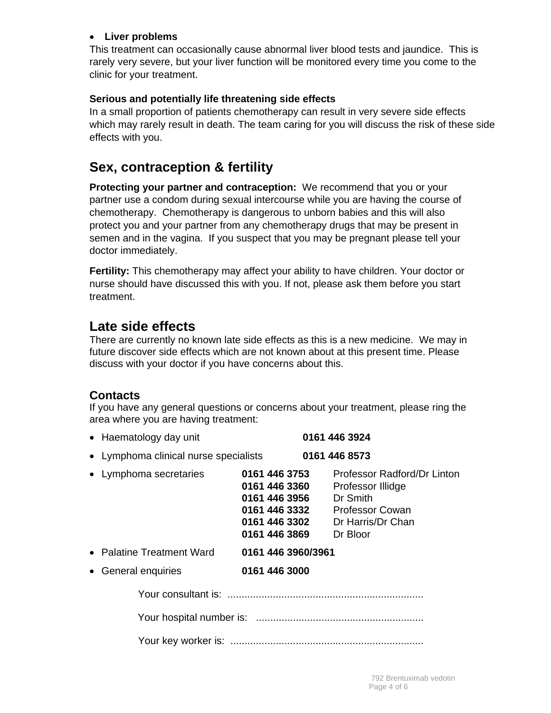#### **Liver problems**

This treatment can occasionally cause abnormal liver blood tests and jaundice. This is rarely very severe, but your liver function will be monitored every time you come to the clinic for your treatment.

#### **Serious and potentially life threatening side effects**

In a small proportion of patients chemotherapy can result in very severe side effects which may rarely result in death. The team caring for you will discuss the risk of these side effects with you.

# **Sex, contraception & fertility**

**Protecting your partner and contraception:** We recommend that you or your partner use a condom during sexual intercourse while you are having the course of chemotherapy. Chemotherapy is dangerous to unborn babies and this will also protect you and your partner from any chemotherapy drugs that may be present in semen and in the vagina. If you suspect that you may be pregnant please tell your doctor immediately.

**Fertility:** This chemotherapy may affect your ability to have children. Your doctor or nurse should have discussed this with you. If not, please ask them before you start treatment.

# **Late side effects**

There are currently no known late side effects as this is a new medicine. We may in future discover side effects which are not known about at this present time. Please discuss with your doctor if you have concerns about this.

## **Contacts**

If you have any general questions or concerns about your treatment, please ring the area where you are having treatment:

| • Haematology day unit                |                                                                           | 0161 446 3924                                                                                                                           |
|---------------------------------------|---------------------------------------------------------------------------|-----------------------------------------------------------------------------------------------------------------------------------------|
| • Lymphoma clinical nurse specialists |                                                                           | 0161 446 8573                                                                                                                           |
| • Lymphoma secretaries                | 0161 446 3753<br>0161 446 3360<br>0161 446 3956 Dr Smith<br>0161 446 3869 | Professor Radford/Dr Linton<br>Professor Illidge<br>0161 446 3332 Professor Cowan<br><b>0161 446 3302</b> Dr Harris/Dr Chan<br>Dr Bloor |
| • Palatine Treatment Ward             | 0161 446 3960/3961                                                        |                                                                                                                                         |
| • General enquiries                   | 0161 446 3000                                                             |                                                                                                                                         |
|                                       |                                                                           |                                                                                                                                         |
|                                       |                                                                           |                                                                                                                                         |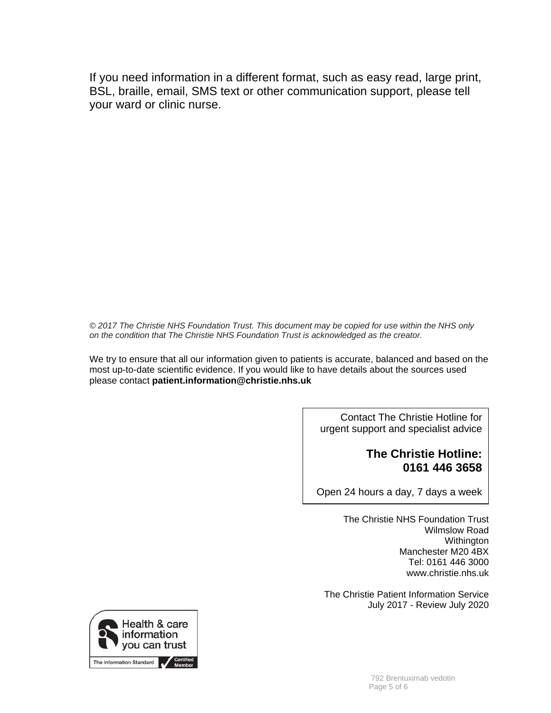If you need information in a different format, such as easy read, large print, BSL, braille, email, SMS text or other communication support, please tell your ward or clinic nurse.

*© 2017 The Christie NHS Foundation Trust. This document may be copied for use within the NHS only on the condition that The Christie NHS Foundation Trust is acknowledged as the creator.*

We try to ensure that all our information given to patients is accurate, balanced and based on the most up-to-date scientific evidence. If you would like to have details about the sources used please contact **patient.information@christie.nhs.uk** 

> Contact The Christie Hotline for urgent support and specialist advice

## **The Christie Hotline: 0161 446 3658**

Open 24 hours a day, 7 days a week

The Christie NHS Foundation Trust Wilmslow Road **Withington** Manchester M20 4BX Tel: 0161 446 3000 www.christie.nhs.uk

The Christie Patient Information Service July 2017 - Review July 2020